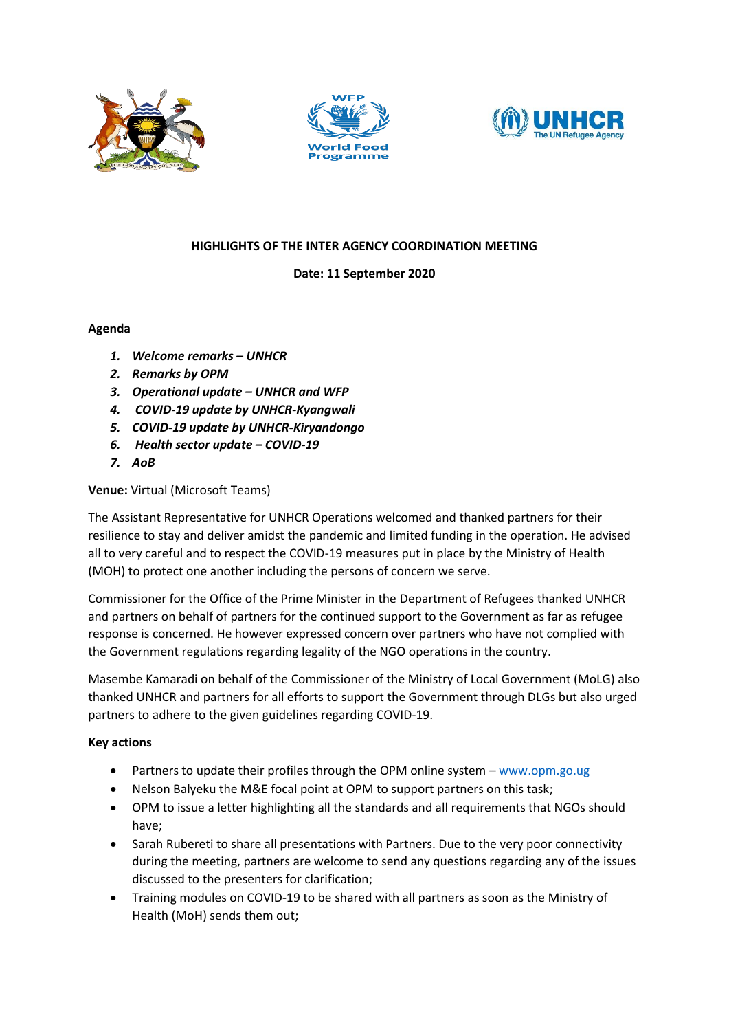





# **HIGHLIGHTS OF THE INTER AGENCY COORDINATION MEETING**

## **Date: 11 September 2020**

## **Agenda**

- *1. Welcome remarks – UNHCR*
- *2. Remarks by OPM*
- *3. Operational update – UNHCR and WFP*
- *4. COVID-19 update by UNHCR-Kyangwali*
- *5. COVID-19 update by UNHCR-Kiryandongo*
- *6. Health sector update – COVID-19*
- *7. AoB*

## **Venue:** Virtual (Microsoft Teams)

The Assistant Representative for UNHCR Operations welcomed and thanked partners for their resilience to stay and deliver amidst the pandemic and limited funding in the operation. He advised all to very careful and to respect the COVID-19 measures put in place by the Ministry of Health (MOH) to protect one another including the persons of concern we serve.

Commissioner for the Office of the Prime Minister in the Department of Refugees thanked UNHCR and partners on behalf of partners for the continued support to the Government as far as refugee response is concerned. He however expressed concern over partners who have not complied with the Government regulations regarding legality of the NGO operations in the country.

Masembe Kamaradi on behalf of the Commissioner of the Ministry of Local Government (MoLG) also thanked UNHCR and partners for all efforts to support the Government through DLGs but also urged partners to adhere to the given guidelines regarding COVID-19.

## **Key actions**

- Partners to update their profiles through the OPM online system [www.opm.go.ug](http://www.opm.go.ug/)
- Nelson Balyeku the M&E focal point at OPM to support partners on this task;
- OPM to issue a letter highlighting all the standards and all requirements that NGOs should have;
- Sarah Rubereti to share all presentations with Partners. Due to the very poor connectivity during the meeting, partners are welcome to send any questions regarding any of the issues discussed to the presenters for clarification;
- Training modules on COVID-19 to be shared with all partners as soon as the Ministry of Health (MoH) sends them out;